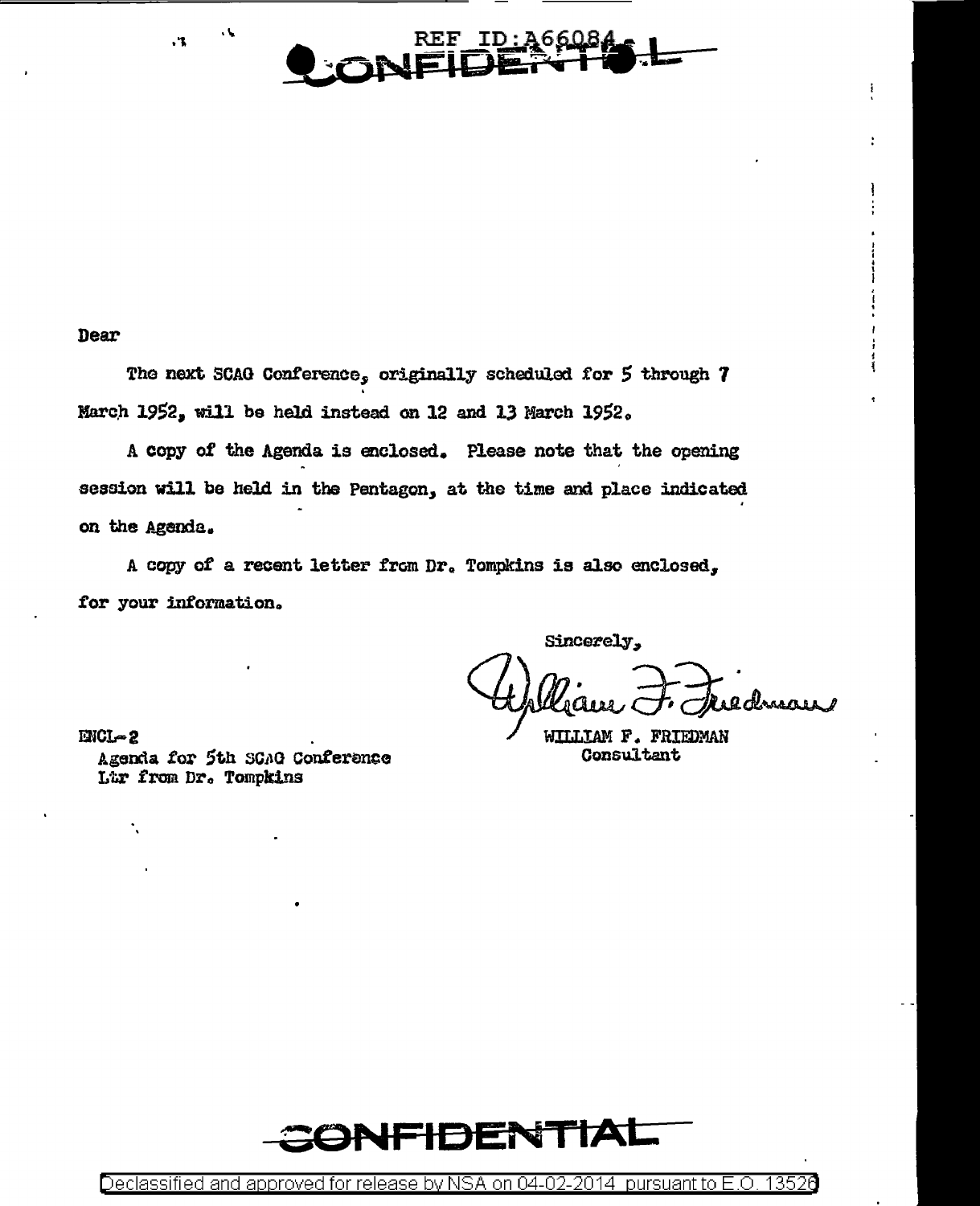

Dear

 $\cdot$ 

The next SCAG Conference, originally scheduled for 5 through 7 March 1952, will be held instead on 12 and 13 March 1952.

A copy of the Agenda is enclosed. Please note that the opening session will be held in the Pentagon, at the time and place indicated on the Agenda.

A copy of a recent letter from Dr. Tompkins is also enclosed, for your information.

Sincerely,

 $IMCI - 2$ Agenda for 5th SGAG Conference Ltr from Dr. Tompkins

WILLIAM F. FRIEDMAN Consultant



Declassified and approved for release by NSA on 04-02-2014 pursuant to E.O. 13526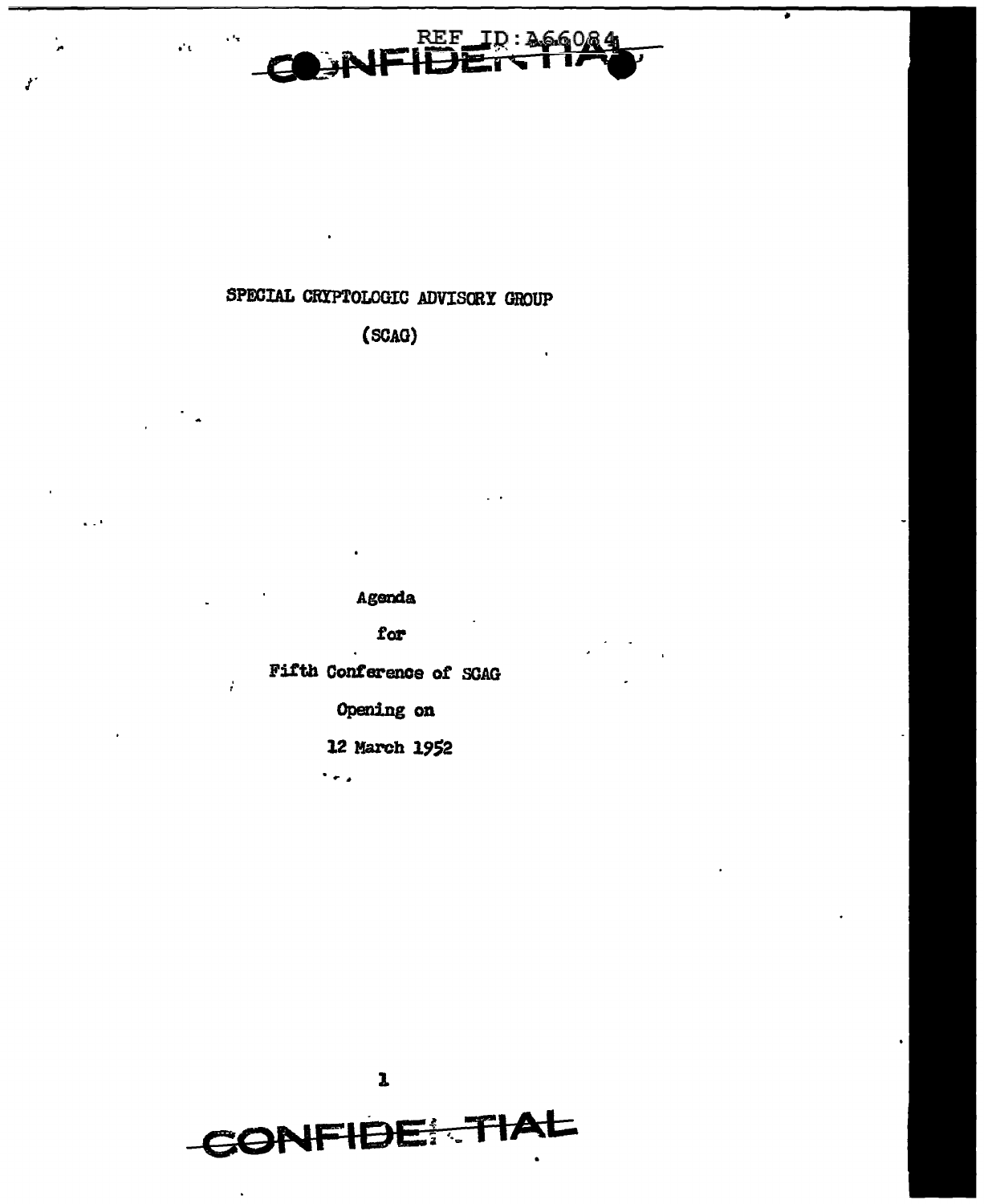

## SPECIAL CRYPTOLOGIC ADVISORY GROUP

 $\mathcal{O}_\mathbf{C}$ 

Ÿ.

(SCAG)

Agenda

for

Fifth Conference of SCAG

ł.

Opening on

12 March 1952

 $\ddot{\phantom{0}}$ 

 $\mathbf{1}$ 

CONFIDE TIAL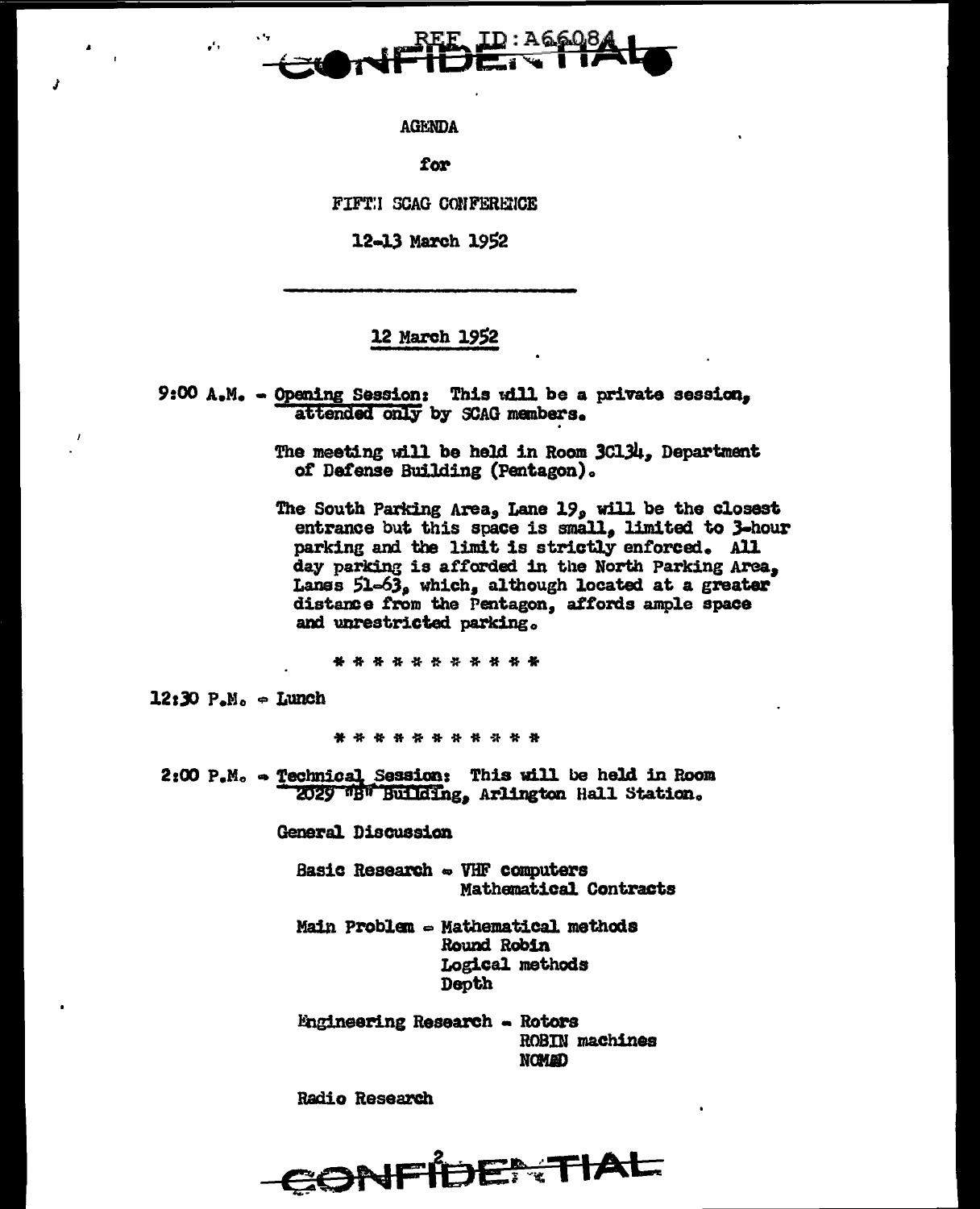

**AGENDA** 

for

FIFTH SCAG CONFERENCE

12-13 March 1952

## 12 March 1952

9:00 A.M. - Opening Session: This will be a private session, attended only by SCAG members.

> The meeting will be held in Room 3Cl34, Department of Defense Building (Pentagon).

The South Parking Area, Lane 19, will be the closest entrance but this space is small, limited to 3-hour parking and the limit is strictly enforced. All day parking is afforded in the North Parking Area, Lanss 51-63, which, although located at a greater distance from the Pentagon, affords ample space and unrestricted parking.

\* \* \* \* \* \* \* \* \* \* \*

 $12:30$   $P.M. = Lunch$ 

 $\mathbf{r}$ 

\* \* \* \* \* \* \* \* \* \* \*

2:00 P.M. - Technical Session: This will be held in Room 2029 "B" Building, Arlington Hall Station.

General Discussion

Basic Research - VHF computers Mathematical Contracts

Main Problem - Mathematical methods Round Robin Logical methods Depth

**Engineering Research - Rotors ROBIN** machines **NOMAD** 

**Radio Research**